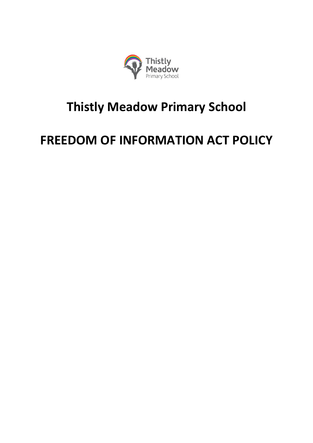

## **Thistly Meadow Primary School**

# **FREEDOM OF INFORMATION ACT POLICY**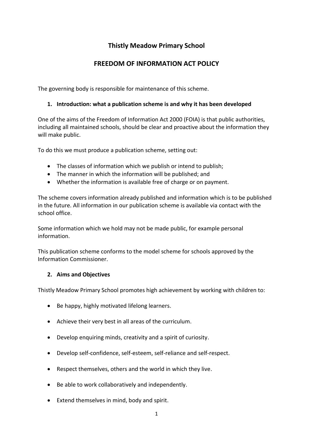### **Thistly Meadow Primary School**

## **FREEDOM OF INFORMATION ACT POLICY**

The governing body is responsible for maintenance of this scheme.

#### **1. Introduction: what a publication scheme is and why it has been developed**

One of the aims of the Freedom of Information Act 2000 (FOIA) is that public authorities, including all maintained schools, should be clear and proactive about the information they will make public.

To do this we must produce a publication scheme, setting out:

- The classes of information which we publish or intend to publish;
- The manner in which the information will be published; and
- Whether the information is available free of charge or on payment.

The scheme covers information already published and information which is to be published in the future. All information in our publication scheme is available via contact with the school office.

Some information which we hold may not be made public, for example personal information.

This publication scheme conforms to the model scheme for schools approved by the Information Commissioner.

#### **2. Aims and Objectives**

Thistly Meadow Primary School promotes high achievement by working with children to:

- Be happy, highly motivated lifelong learners.
- Achieve their very best in all areas of the curriculum.
- Develop enquiring minds, creativity and a spirit of curiosity.
- Develop self-confidence, self-esteem, self-reliance and self-respect.
- Respect themselves, others and the world in which they live.
- Be able to work collaboratively and independently.
- Extend themselves in mind, body and spirit.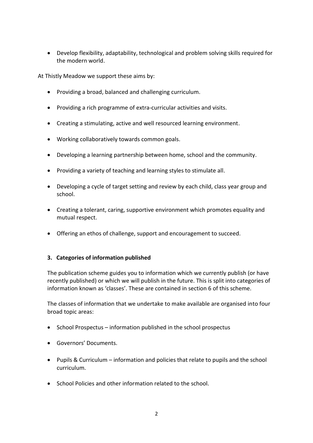Develop flexibility, adaptability, technological and problem solving skills required for the modern world.

At Thistly Meadow we support these aims by:

- Providing a broad, balanced and challenging curriculum.
- Providing a rich programme of extra-curricular activities and visits.
- Creating a stimulating, active and well resourced learning environment.
- Working collaboratively towards common goals.
- Developing a learning partnership between home, school and the community.
- Providing a variety of teaching and learning styles to stimulate all.
- Developing a cycle of target setting and review by each child, class year group and school.
- Creating a tolerant, caring, supportive environment which promotes equality and mutual respect.
- Offering an ethos of challenge, support and encouragement to succeed.

#### **3. Categories of information published**

The publication scheme guides you to information which we currently publish (or have recently published) or which we will publish in the future. This is split into categories of information known as 'classes'. These are contained in section 6 of this scheme.

The classes of information that we undertake to make available are organised into four broad topic areas:

- $\bullet$  School Prospectus information published in the school prospectus
- Governors' Documents.
- Pupils & Curriculum information and policies that relate to pupils and the school curriculum.
- School Policies and other information related to the school.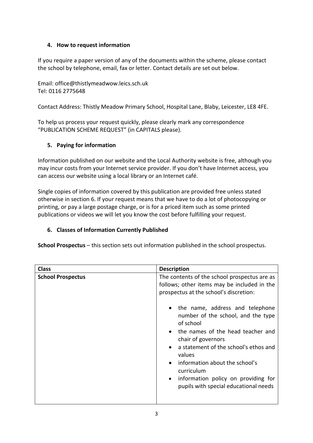#### **4. How to request information**

If you require a paper version of any of the documents within the scheme, please contact the school by telephone, email, fax or letter. Contact details are set out below.

Email: office@thistlymeadwow.leics.sch.uk Tel: 0116 2775648

Contact Address: Thistly Meadow Primary School, Hospital Lane, Blaby, Leicester, LE8 4FE.

To help us process your request quickly, please clearly mark any correspondence "PUBLICATION SCHEME REQUEST" (in CAPITALS please).

#### **5. Paying for information**

Information published on our website and the Local Authority website is free, although you may incur costs from your Internet service provider. If you don't have Internet access, you can access our website using a local library or an Internet café.

Single copies of information covered by this publication are provided free unless stated otherwise in section 6. If your request means that we have to do a lot of photocopying or printing, or pay a large postage charge, or is for a priced item such as some printed publications or videos we will let you know the cost before fulfilling your request.

#### **6. Classes of Information Currently Published**

**School Prospectus** – this section sets out information published in the school prospectus.

| <b>Class</b>             | <b>Description</b>                                                                                                                                                                                                                                                                                    |  |
|--------------------------|-------------------------------------------------------------------------------------------------------------------------------------------------------------------------------------------------------------------------------------------------------------------------------------------------------|--|
| <b>School Prospectus</b> | The contents of the school prospectus are as<br>follows; other items may be included in the<br>prospectus at the school's discretion:<br>• the name, address and telephone<br>number of the school, and the type<br>of school<br>the names of the head teacher and<br>$\bullet$<br>chair of governors |  |
|                          | a statement of the school's ethos and<br>values<br>information about the school's<br>curriculum<br>information policy on providing for<br>$\bullet$<br>pupils with special educational needs                                                                                                          |  |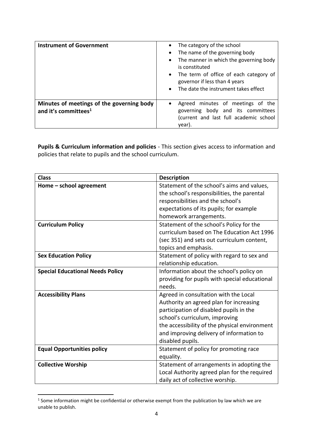| <b>Instrument of Government</b>                                               | The category of the school<br>The name of the governing body<br>$\bullet$<br>• The manner in which the governing body<br>is constituted<br>• The term of office of each category of<br>governor if less than 4 years<br>The date the instrument takes effect<br>$\bullet$ |  |
|-------------------------------------------------------------------------------|---------------------------------------------------------------------------------------------------------------------------------------------------------------------------------------------------------------------------------------------------------------------------|--|
| Minutes of meetings of the governing body<br>and it's committees <sup>1</sup> | Agreed minutes of meetings of the<br>$\bullet$<br>governing body and its committees<br>(current and last full academic school<br>year).                                                                                                                                   |  |

**Pupils & Curriculum information and policies** - This section gives access to information and policies that relate to pupils and the school curriculum.

| <b>Class</b>                            | <b>Description</b>                                                                        |  |
|-----------------------------------------|-------------------------------------------------------------------------------------------|--|
| Home - school agreement                 | Statement of the school's aims and values,<br>the school's responsibilities, the parental |  |
|                                         |                                                                                           |  |
|                                         | responsibilities and the school's                                                         |  |
|                                         | expectations of its pupils; for example                                                   |  |
|                                         | homework arrangements.                                                                    |  |
| <b>Curriculum Policy</b>                | Statement of the school's Policy for the                                                  |  |
|                                         | curriculum based on The Education Act 1996                                                |  |
|                                         | (sec 351) and sets out curriculum content,                                                |  |
|                                         | topics and emphasis.                                                                      |  |
| <b>Sex Education Policy</b>             | Statement of policy with regard to sex and                                                |  |
|                                         | relationship education.                                                                   |  |
| <b>Special Educational Needs Policy</b> | Information about the school's policy on                                                  |  |
|                                         | providing for pupils with special educational                                             |  |
|                                         | needs.                                                                                    |  |
| <b>Accessibility Plans</b>              | Agreed in consultation with the Local                                                     |  |
|                                         | Authority an agreed plan for increasing                                                   |  |
|                                         | participation of disabled pupils in the                                                   |  |
|                                         | school's curriculum, improving                                                            |  |
|                                         | the accessibility of the physical environment                                             |  |
|                                         | and improving delivery of information to                                                  |  |
|                                         | disabled pupils.                                                                          |  |
| <b>Equal Opportunities policy</b>       | Statement of policy for promoting race                                                    |  |
|                                         | equality.                                                                                 |  |
| <b>Collective Worship</b>               | Statement of arrangements in adopting the                                                 |  |
|                                         | Local Authority agreed plan for the required                                              |  |
|                                         | daily act of collective worship.                                                          |  |

 $<sup>1</sup>$  Some information might be confidential or otherwise exempt from the publication by law which we are</sup> unable to publish.

1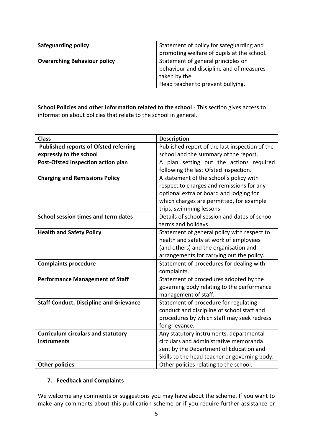| <b>Safeguarding policy</b>          | Statement of policy for safeguarding and<br>promoting welfare of pupils at the school. |  |
|-------------------------------------|----------------------------------------------------------------------------------------|--|
| <b>Overarching Behaviour policy</b> | Statement of general principles on<br>behaviour and discipline and of measures         |  |
|                                     | taken by the<br>Head teacher to prevent bullying.                                      |  |

**School Policies and other information related to the school** - This section gives access to information about policies that relate to the school in general.

| <b>Class</b>                                   | <b>Description</b>                             |  |
|------------------------------------------------|------------------------------------------------|--|
| <b>Published reports of Ofsted referring</b>   | Published report of the last inspection of the |  |
| expressly to the school                        | school and the summary of the report.          |  |
| Post-Ofsted inspection action plan             | A plan setting out the actions required        |  |
|                                                | following the last Ofsted inspection.          |  |
| <b>Charging and Remissions Policy</b>          | A statement of the school's policy with        |  |
|                                                | respect to charges and remissions for any      |  |
|                                                | optional extra or board and lodging for        |  |
|                                                | which charges are permitted, for example       |  |
|                                                | trips, swimming lessons.                       |  |
| School session times and term dates            | Details of school session and dates of school  |  |
|                                                | terms and holidays.                            |  |
| <b>Health and Safety Policy</b>                | Statement of general policy with respect to    |  |
|                                                | health and safety at work of employees         |  |
|                                                | (and others) and the organisation and          |  |
|                                                | arrangements for carrying out the policy.      |  |
| <b>Complaints procedure</b>                    | Statement of procedures for dealing with       |  |
|                                                | complaints.                                    |  |
| <b>Performance Management of Staff</b>         | Statement of procedures adopted by the         |  |
|                                                | governing body relating to the performance     |  |
|                                                | management of staff.                           |  |
| <b>Staff Conduct, Discipline and Grievance</b> | Statement of procedure for regulating          |  |
|                                                | conduct and discipline of school staff and     |  |
|                                                | procedures by which staff may seek redress     |  |
|                                                | for grievance.                                 |  |
| <b>Curriculum circulars and statutory</b>      | Any statutory instruments, departmental        |  |
| instruments                                    | circulars and administrative memoranda         |  |
|                                                | sent by the Department of Education and        |  |
|                                                | Skills to the head teacher or governing body.  |  |
| <b>Other policies</b>                          | Other policies relating to the school.         |  |

#### **7. Feedback and Complaints**

We welcome any comments or suggestions you may have about the scheme. If you want to make any comments about this publication scheme or if you require further assistance or